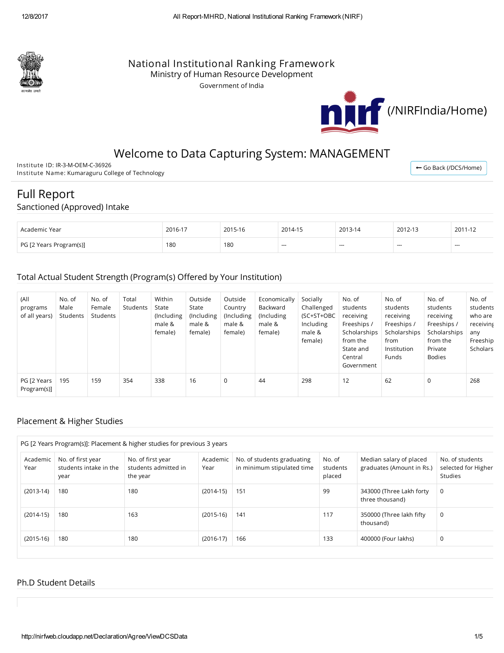

# National Institutional Ranking Framework

Ministry of Human Resource Development

Government of India



# Welcome to Data Capturing System: MANAGEMENT

Institute ID: IR-3-M-OEM-C-36926 Institute Name: Kumaraguru College of Technology

← Go Back [\(/DCS/Home\)](http://nirfweb.cloudapp.net/DCS/Home)

# Full Report

### Sanctioned (Approved) Intake

| Academic Year           | 2016-17 | 2015-16 | 2014-15                  | 2013-14 | 2012-13 | 2011-12 |
|-------------------------|---------|---------|--------------------------|---------|---------|---------|
| PG [2 Years Program(s)] | 180     | 180     | $\overline{\phantom{a}}$ | $- - -$ | $--$    | $-$     |

### Total Actual Student Strength (Program(s) Offered by Your Institution)

| (All<br>programs<br>of all years) | No. of<br>Male<br>Students | No. of<br>Female<br>Students | Total<br>Students | Within<br>State<br>(Including)<br>male &<br>female) | Outside<br>State<br>(Including<br>male &<br>female) | Outside<br>Country<br>(Including<br>male &<br>female) | Economically<br>Backward<br>(Including<br>male &<br>female) | Socially<br>Challenged<br>(SC+ST+OBC<br>Including<br>male &<br>female) | No. of<br>students<br>receiving<br>Freeships /<br>Scholarships<br>from the<br>State and<br>Central<br>Government | No. of<br>students<br>receiving<br>Freeships /<br>Scholarships<br>from<br>Institution<br>Funds | No. of<br>students<br>receiving<br>Freeships /<br>Scholarships<br>from the<br>Private<br><b>Bodies</b> | No. of<br>students<br>who are<br>receiving<br>any<br>Freeship<br>Scholars |
|-----------------------------------|----------------------------|------------------------------|-------------------|-----------------------------------------------------|-----------------------------------------------------|-------------------------------------------------------|-------------------------------------------------------------|------------------------------------------------------------------------|------------------------------------------------------------------------------------------------------------------|------------------------------------------------------------------------------------------------|--------------------------------------------------------------------------------------------------------|---------------------------------------------------------------------------|
| PG [2 Years<br>Program(s)]        | 195                        | 159                          | 354               | 338                                                 | 16                                                  | 0                                                     | 44                                                          | 298                                                                    | 12                                                                                                               | 62                                                                                             | 0                                                                                                      | 268                                                                       |

### Placement & Higher Studies

| PG [2 Years Program(s)]: Placement & higher studies for previous 3 years |                                                     |                                                       |                  |                                                          |                              |                                                      |                                                   |  |  |
|--------------------------------------------------------------------------|-----------------------------------------------------|-------------------------------------------------------|------------------|----------------------------------------------------------|------------------------------|------------------------------------------------------|---------------------------------------------------|--|--|
| Academic<br>Year                                                         | No. of first year<br>students intake in the<br>year | No. of first year<br>students admitted in<br>the year | Academic<br>Year | No. of students graduating<br>in minimum stipulated time | No. of<br>students<br>placed | Median salary of placed<br>graduates (Amount in Rs.) | No. of students<br>selected for Higher<br>Studies |  |  |
| $(2013-14)$                                                              | 180                                                 | 180                                                   | $(2014-15)$      | 151                                                      | 99                           | 343000 (Three Lakh forty<br>three thousand)          | 0                                                 |  |  |
| $(2014-15)$                                                              | 180                                                 | 163                                                   | $(2015-16)$      | 141                                                      | 117                          | 350000 (Three lakh fifty<br>thousand)                | 0                                                 |  |  |
| $(2015-16)$                                                              | 180                                                 | 180                                                   | $(2016-17)$      | 166                                                      | 133                          | 400000 (Four lakhs)                                  | 0                                                 |  |  |

### Ph.D Student Details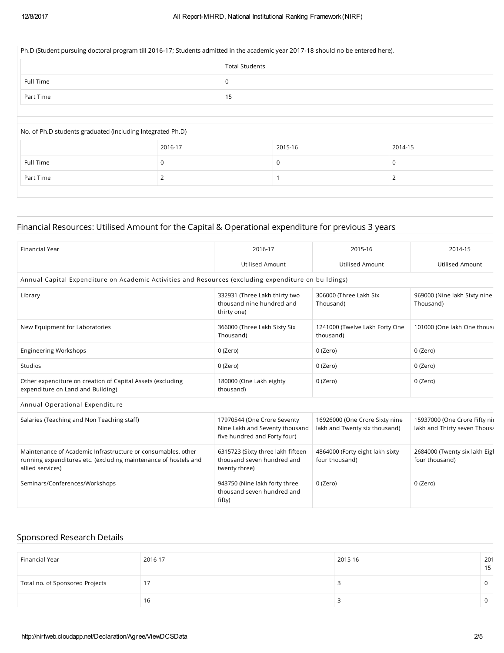#### Ph.D (Student pursuing doctoral program till 2016-17; Students admitted in the academic year 2017-18 should no be entered here).

|           | <b>Total Students</b> |
|-----------|-----------------------|
| Full Time |                       |
| Part Time | 15                    |
|           |                       |

# No. of Ph.D students graduated (including Integrated Ph.D) 2016-17 2015-16 2014-15 Full Time  $\begin{array}{c|c} 0 & 0 & 0 \end{array}$ Part Time  $\begin{array}{ccccccc} & 2 & & & & 1 & & & & 2 \end{array}$

### Financial Resources: Utilised Amount for the Capital & Operational expenditure for previous 3 years

| <b>Financial Year</b>                                                                                                                               | 2016-17                                                                                       | 2015-16                                                         | 2014-15                                                      |
|-----------------------------------------------------------------------------------------------------------------------------------------------------|-----------------------------------------------------------------------------------------------|-----------------------------------------------------------------|--------------------------------------------------------------|
|                                                                                                                                                     | <b>Utilised Amount</b>                                                                        | Utilised Amount                                                 | <b>Utilised Amount</b>                                       |
| Annual Capital Expenditure on Academic Activities and Resources (excluding expenditure on buildings)                                                |                                                                                               |                                                                 |                                                              |
| Library                                                                                                                                             | 332931 (Three Lakh thirty two<br>thousand nine hundred and<br>thirty one)                     | 306000 (Three Lakh Six<br>Thousand)                             | 969000 (Nine lakh Sixty nine<br>Thousand)                    |
| New Equipment for Laboratories                                                                                                                      | 366000 (Three Lakh Sixty Six<br>Thousand)                                                     | 1241000 (Twelve Lakh Forty One<br>thousand)                     | 101000 (One lakh One thous:                                  |
| <b>Engineering Workshops</b>                                                                                                                        | 0 (Zero)                                                                                      | 0 (Zero)                                                        | 0 (Zero)                                                     |
| Studios                                                                                                                                             | 0 (Zero)                                                                                      | 0 (Zero)                                                        | 0 (Zero)                                                     |
| Other expenditure on creation of Capital Assets (excluding<br>expenditure on Land and Building)                                                     | 180000 (One Lakh eighty<br>thousand)                                                          | 0 (Zero)                                                        | 0 (Zero)                                                     |
| Annual Operational Expenditure                                                                                                                      |                                                                                               |                                                                 |                                                              |
| Salaries (Teaching and Non Teaching staff)                                                                                                          | 17970544 (One Crore Seventy<br>Nine Lakh and Seventy thousand<br>five hundred and Forty four) | 16926000 (One Crore Sixty nine<br>lakh and Twenty six thousand) | 15937000 (One Crore Fifty ni<br>lakh and Thirty seven Thousa |
| Maintenance of Academic Infrastructure or consumables, other<br>running expenditures etc. (excluding maintenance of hostels and<br>allied services) | 6315723 (Sixty three lakh fifteen<br>thousand seven hundred and<br>twenty three)              | 4864000 (Forty eight lakh sixty<br>four thousand)               | 2684000 (Twenty six lakh Eigl<br>four thousand)              |
| Seminars/Conferences/Workshops                                                                                                                      | 943750 (Nine lakh forty three<br>thousand seven hundred and<br>fifty)                         | 0 (Zero)                                                        | 0 (Zero)                                                     |

### Sponsored Research Details

| Financial Year                  | 2016-17 | 2015-16 | 201 |
|---------------------------------|---------|---------|-----|
| Total no. of Sponsored Projects | 17      |         |     |
|                                 | 16      |         |     |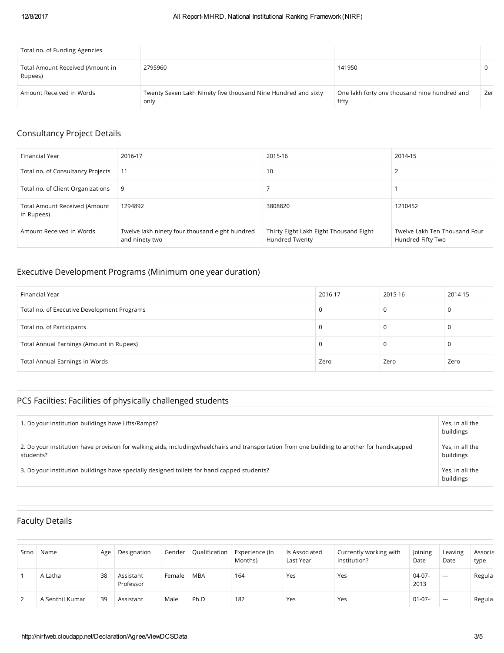| Total no. of Funding Agencies               |                                                                       |                                                       |     |
|---------------------------------------------|-----------------------------------------------------------------------|-------------------------------------------------------|-----|
| Total Amount Received (Amount in<br>Rupees) | 2795960                                                               | 141950                                                |     |
| Amount Received in Words                    | Twenty Seven Lakh Ninety five thousand Nine Hundred and sixty<br>only | One lakh forty one thousand nine hundred and<br>fifty | Zer |

# Consultancy Project Details

| Financial Year                                     | 2016-17                                                          | 2015-16                                                         | 2014-15                                            |
|----------------------------------------------------|------------------------------------------------------------------|-----------------------------------------------------------------|----------------------------------------------------|
| Total no. of Consultancy Projects                  | -11                                                              | 10                                                              |                                                    |
| Total no. of Client Organizations                  | 9                                                                |                                                                 |                                                    |
| <b>Total Amount Received (Amount</b><br>in Rupees) | 1294892                                                          | 3808820                                                         | 1210452                                            |
| Amount Received in Words                           | Twelve lakh ninety four thousand eight hundred<br>and ninety two | Thirty Eight Lakh Eight Thousand Eight<br><b>Hundred Twenty</b> | Twelve Lakh Ten Thousand Four<br>Hundred Fifty Two |

# Executive Development Programs (Minimum one year duration)

| Financial Year                              | 2016-17 | 2015-16 | 2014-15 |
|---------------------------------------------|---------|---------|---------|
| Total no. of Executive Development Programs | 0       |         | 0       |
| Total no. of Participants                   | 0       |         | J.      |
| Total Annual Earnings (Amount in Rupees)    | 0       |         | 0       |
| Total Annual Earnings in Words              | Zero    | Zero    | Zero    |

# PCS Facilties: Facilities of physically challenged students

| 1. Do your institution buildings have Lifts/Ramps?                                                                                                          | Yes, in all the<br>buildings |
|-------------------------------------------------------------------------------------------------------------------------------------------------------------|------------------------------|
| 2. Do your institution have provision for walking aids, including wheel chairs and transportation from one building to another for handicapped<br>students? | Yes, in all the<br>buildings |
| 3. Do your institution buildings have specially designed toilets for handicapped students?                                                                  | Yes, in all the<br>buildings |

# Faculty Details

| Srno | Name            | Age | Designation            | Gender | Qualification | Experience (In<br>Months) | Is Associated<br>Last Year | Currently working with<br>institution? | Joining<br>Date  | Leaving<br>Date | Associa<br>type |
|------|-----------------|-----|------------------------|--------|---------------|---------------------------|----------------------------|----------------------------------------|------------------|-----------------|-----------------|
|      | A Latha         | 38  | Assistant<br>Professor | Female | <b>MBA</b>    | 164                       | Yes                        | Yes                                    | $04-07-$<br>2013 | $\cdots$        | Regula          |
|      | A Senthil Kumar | 39  | Assistant              | Male   | Ph.D          | 182                       | Yes                        | Yes                                    | $01-07-$         | $- - -$         | Regula          |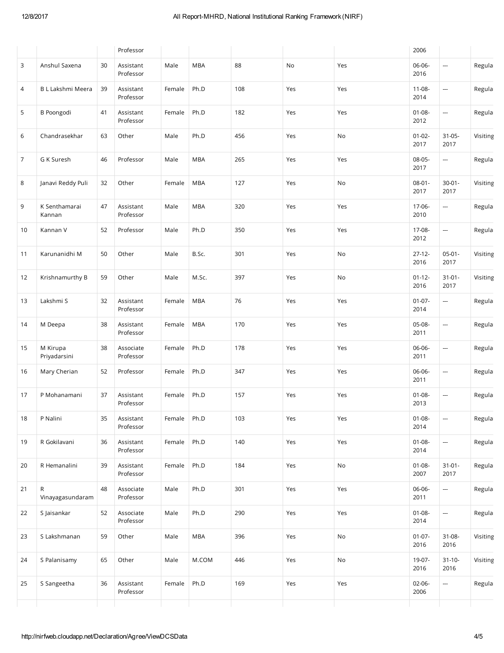|                |                          |    | Professor              |        |            |     |     |     | 2006                |                          |          |
|----------------|--------------------------|----|------------------------|--------|------------|-----|-----|-----|---------------------|--------------------------|----------|
| 3              | Anshul Saxena            | 30 | Assistant<br>Professor | Male   | <b>MBA</b> | 88  | No  | Yes | 06-06-<br>2016      | ---                      | Regula   |
| $\overline{4}$ | B L Lakshmi Meera        | 39 | Assistant<br>Professor | Female | Ph.D       | 108 | Yes | Yes | $11 - 08 -$<br>2014 | $\overline{\phantom{a}}$ | Regula   |
| 5              | <b>B</b> Poongodi        | 41 | Assistant<br>Professor | Female | Ph.D       | 182 | Yes | Yes | $01 - 08 -$<br>2012 | ---                      | Regula   |
| 6              | Chandrasekhar            | 63 | Other                  | Male   | Ph.D       | 456 | Yes | No  | $01-02-$<br>2017    | $31 - 05 -$<br>2017      | Visiting |
| $\overline{7}$ | G K Suresh               | 46 | Professor              | Male   | <b>MBA</b> | 265 | Yes | Yes | 08-05-<br>2017      | <u></u>                  | Regula   |
| 8              | Janavi Reddy Puli        | 32 | Other                  | Female | <b>MBA</b> | 127 | Yes | No  | $08-01-$<br>2017    | $30 - 01 -$<br>2017      | Visiting |
| 9              | K Senthamarai<br>Kannan  | 47 | Assistant<br>Professor | Male   | <b>MBA</b> | 320 | Yes | Yes | 17-06-<br>2010      | ---                      | Regula   |
| 10             | Kannan V                 | 52 | Professor              | Male   | Ph.D       | 350 | Yes | Yes | 17-08-<br>2012      | ---                      | Regula   |
| 11             | Karunanidhi M            | 50 | Other                  | Male   | B.Sc.      | 301 | Yes | No  | $27-12-$<br>2016    | $05-01-$<br>2017         | Visiting |
| 12             | Krishnamurthy B          | 59 | Other                  | Male   | M.Sc.      | 397 | Yes | No  | $01-12-$<br>2016    | $31 - 01 -$<br>2017      | Visiting |
| 13             | Lakshmi S                | 32 | Assistant<br>Professor | Female | <b>MBA</b> | 76  | Yes | Yes | $01-07-$<br>2014    | ---                      | Regula   |
| 14             | M Deepa                  | 38 | Assistant<br>Professor | Female | <b>MBA</b> | 170 | Yes | Yes | 05-08-<br>2011      | ---                      | Regula   |
| 15             | M Kirupa<br>Priyadarsini | 38 | Associate<br>Professor | Female | Ph.D       | 178 | Yes | Yes | 06-06-<br>2011      | ---                      | Regula   |
| 16             | Mary Cherian             | 52 | Professor              | Female | Ph.D       | 347 | Yes | Yes | 06-06-<br>2011      | ---                      | Regula   |
| 17             | P Mohanamani             | 37 | Assistant<br>Professor | Female | Ph.D       | 157 | Yes | Yes | $01 - 08 -$<br>2013 | ---                      | Regula   |
| 18             | P Nalini                 | 35 | Assistant<br>Professor | Female | Ph.D       | 103 | Yes | Yes | $01-08-$<br>2014    | ---                      | Regula   |
| 19             | R Gokilavani             | 36 | Assistant<br>Professor | Female | Ph.D       | 140 | Yes | Yes | $01 - 08 -$<br>2014 | <u></u>                  | Regula   |
| 20             | R Hemanalini             | 39 | Assistant<br>Professor | Female | Ph.D       | 184 | Yes | No  | $01 - 08 -$<br>2007 | $31 - 01 -$<br>2017      | Regula   |
| 21             | R<br>Vinayagasundaram    | 48 | Associate<br>Professor | Male   | Ph.D       | 301 | Yes | Yes | 06-06-<br>2011      | ---                      | Regula   |
| 22             | S Jaisankar              | 52 | Associate<br>Professor | Male   | Ph.D       | 290 | Yes | Yes | $01 - 08 -$<br>2014 | ---                      | Regula   |
| 23             | S Lakshmanan             | 59 | Other                  | Male   | <b>MBA</b> | 396 | Yes | No  | $01-07-$<br>2016    | $31 - 08 -$<br>2016      | Visiting |
| 24             | S Palanisamy             | 65 | Other                  | Male   | M.COM      | 446 | Yes | No  | 19-07-<br>2016      | $31 - 10 -$<br>2016      | Visiting |
| 25             | S Sangeetha              | 36 | Assistant<br>Professor | Female | Ph.D       | 169 | Yes | Yes | 02-06-<br>2006      | $\hspace{0.05cm} \ldots$ | Regula   |
|                |                          |    |                        |        |            |     |     |     |                     |                          |          |